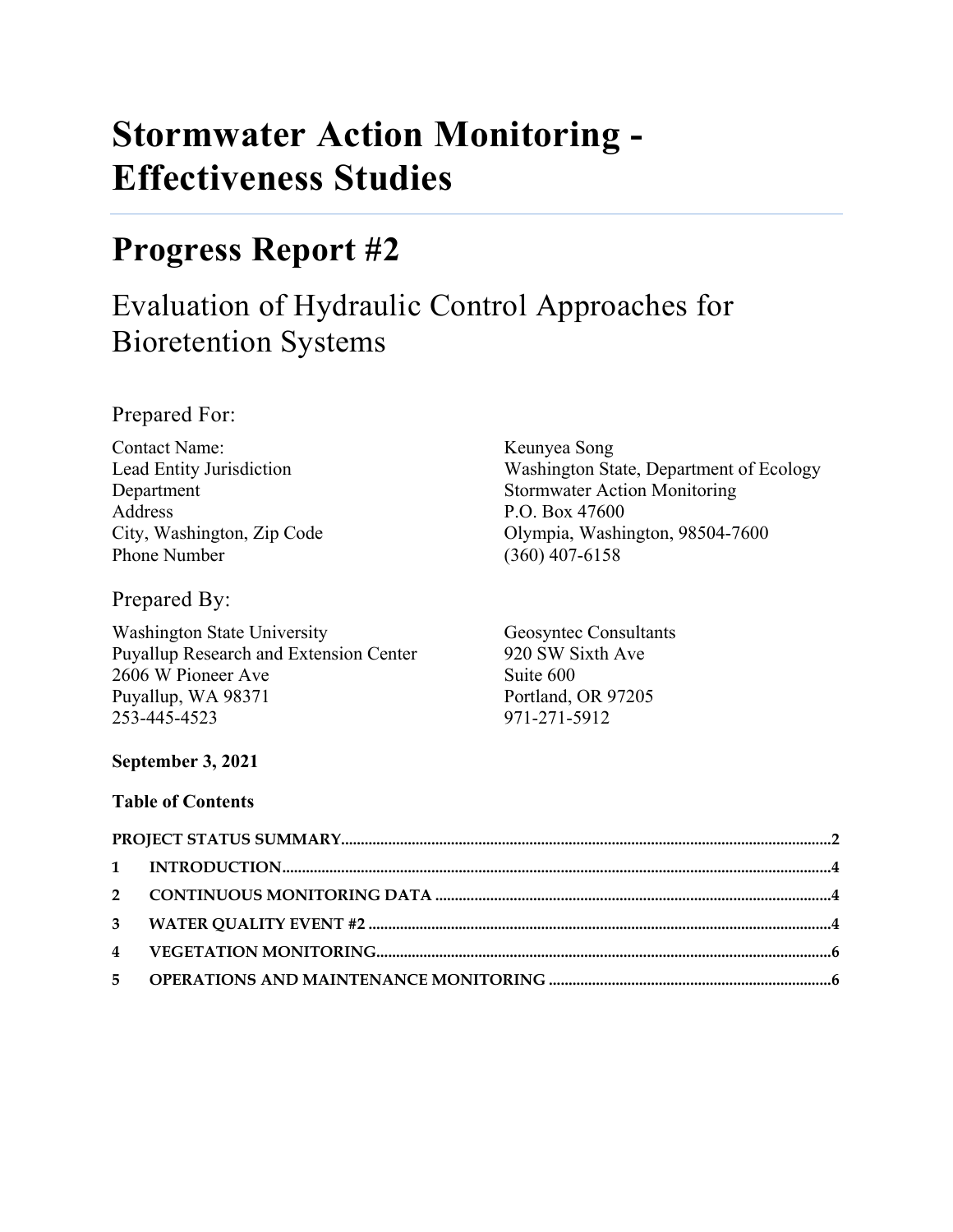# **Stormwater Action Monitoring - Effectiveness Studies**

## **Progress Report #2**

## Evaluation of Hydraulic Control Approaches for Bioretention Systems

Prepared For:

Contact Name: Keunyea Song Address P.O. Box 47600 Phone Number (360) 407-6158

Prepared By:

Washington State University Geosyntec Consultants Puyallup Research and Extension Center 920 SW Sixth Ave 2606 W Pioneer Ave Suite 600 Puyallup, WA 98371 Portland, OR 97205 253-445-4523 971-271-5912

Lead Entity Jurisdiction Washington State, Department of Ecology Department Stormwater Action Monitoring City, Washington, Zip Code Olympia, Washington, 98504-7600

## **September 3, 2021**

## **Table of Contents**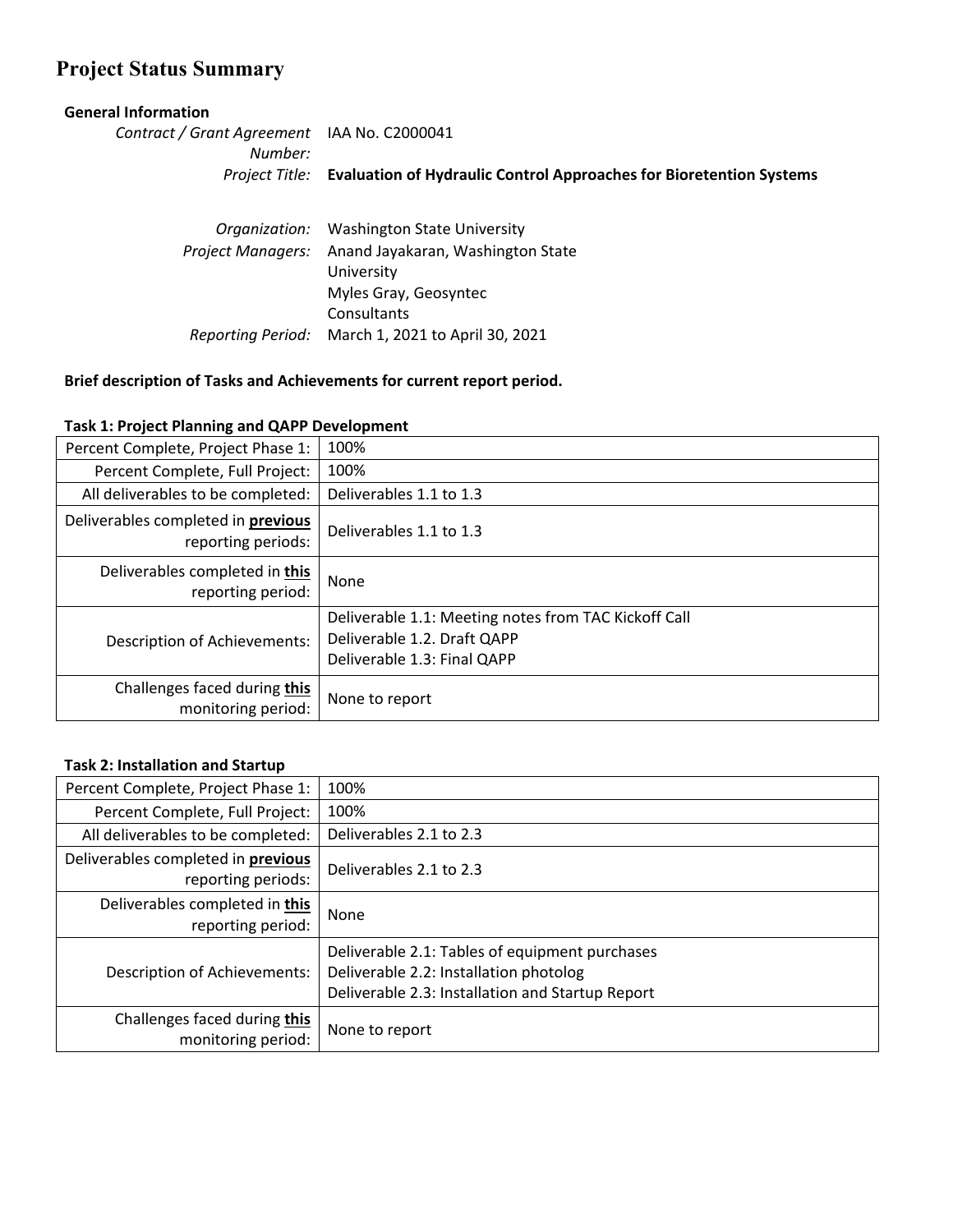## <span id="page-1-0"></span>**Project Status Summary**

#### **General Information**

*Contract / Grant Agreement*  IAA No. C2000041 *Number: Project Title:* **Evaluation of Hydraulic Control Approaches for Bioretention Systems**

|                   | Organization: Washington State University         |  |  |  |
|-------------------|---------------------------------------------------|--|--|--|
| Project Managers: | Anand Jayakaran, Washington State                 |  |  |  |
|                   | University                                        |  |  |  |
|                   | Myles Gray, Geosyntec                             |  |  |  |
|                   | Consultants                                       |  |  |  |
|                   | Reporting Period: March 1, 2021 to April 30, 2021 |  |  |  |

#### **Brief description of Tasks and Achievements for current report period.**

| Percent Complete, Project Phase 1:                       | 100%                                                                                                               |
|----------------------------------------------------------|--------------------------------------------------------------------------------------------------------------------|
| Percent Complete, Full Project:                          | 100%                                                                                                               |
| All deliverables to be completed:                        | Deliverables 1.1 to 1.3                                                                                            |
| Deliverables completed in previous<br>reporting periods: | Deliverables 1.1 to 1.3                                                                                            |
| Deliverables completed in this<br>reporting period:      | None                                                                                                               |
| <b>Description of Achievements:</b>                      | Deliverable 1.1: Meeting notes from TAC Kickoff Call<br>Deliverable 1.2. Draft QAPP<br>Deliverable 1.3: Final QAPP |
| Challenges faced during this<br>monitoring period:       | None to report                                                                                                     |

#### **Task 1: Project Planning and QAPP Development**

#### **Task 2: Installation and Startup**

| Percent Complete, Project Phase 1:                              | 100%                                                                                                                                         |
|-----------------------------------------------------------------|----------------------------------------------------------------------------------------------------------------------------------------------|
| Percent Complete, Full Project:                                 | 100%                                                                                                                                         |
| All deliverables to be completed:                               | Deliverables 2.1 to 2.3                                                                                                                      |
| Deliverables completed in <b>previous</b><br>reporting periods: | Deliverables 2.1 to 2.3                                                                                                                      |
| Deliverables completed in this<br>reporting period:             | None                                                                                                                                         |
| <b>Description of Achievements:</b>                             | Deliverable 2.1: Tables of equipment purchases<br>Deliverable 2.2: Installation photolog<br>Deliverable 2.3: Installation and Startup Report |
| Challenges faced during this<br>monitoring period:              | None to report                                                                                                                               |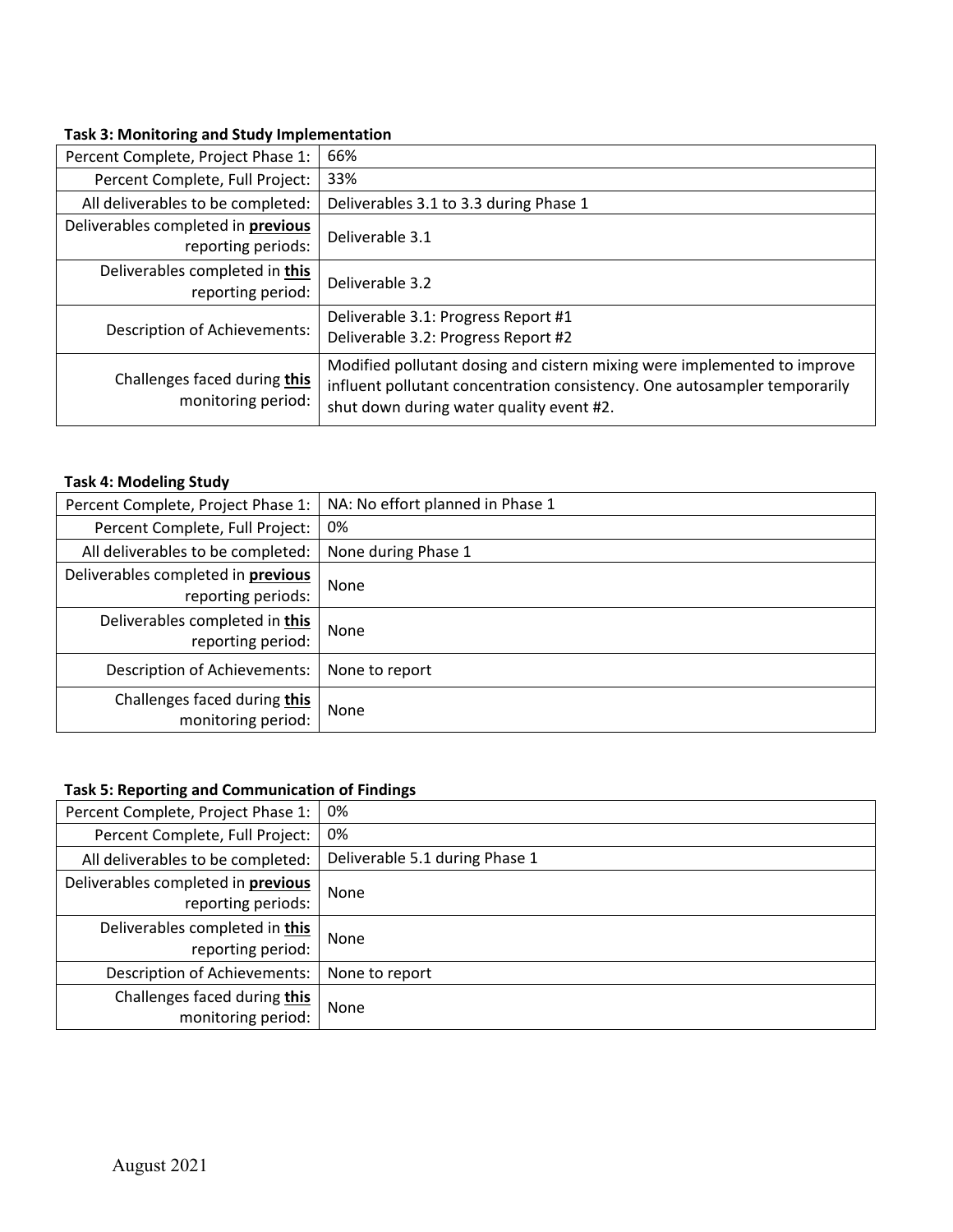#### **Task 3: Monitoring and Study Implementation**

| Percent Complete, Project Phase 1:                       | 66%                                                                                                                                                                                               |
|----------------------------------------------------------|---------------------------------------------------------------------------------------------------------------------------------------------------------------------------------------------------|
| Percent Complete, Full Project:                          | 33%                                                                                                                                                                                               |
| All deliverables to be completed:                        | Deliverables 3.1 to 3.3 during Phase 1                                                                                                                                                            |
| Deliverables completed in previous<br>reporting periods: | Deliverable 3.1                                                                                                                                                                                   |
| Deliverables completed in this<br>reporting period:      | Deliverable 3.2                                                                                                                                                                                   |
| <b>Description of Achievements:</b>                      | Deliverable 3.1: Progress Report #1<br>Deliverable 3.2: Progress Report #2                                                                                                                        |
| Challenges faced during this<br>monitoring period:       | Modified pollutant dosing and cistern mixing were implemented to improve<br>influent pollutant concentration consistency. One autosampler temporarily<br>shut down during water quality event #2. |

#### **Task 4: Modeling Study**

| Percent Complete, Project Phase 1:  | NA: No effort planned in Phase 1 |  |  |
|-------------------------------------|----------------------------------|--|--|
| Percent Complete, Full Project:     | 0%                               |  |  |
| All deliverables to be completed:   | None during Phase 1              |  |  |
| Deliverables completed in previous  | None                             |  |  |
| reporting periods:                  |                                  |  |  |
| Deliverables completed in this      | None                             |  |  |
| reporting period:                   |                                  |  |  |
| <b>Description of Achievements:</b> | None to report                   |  |  |
| Challenges faced during this        | None                             |  |  |
| monitoring period:                  |                                  |  |  |

## **Task 5: Reporting and Communication of Findings**

| Percent Complete, Project Phase 1:  | 0%                             |  |  |
|-------------------------------------|--------------------------------|--|--|
| Percent Complete, Full Project:     | 0%                             |  |  |
| All deliverables to be completed:   | Deliverable 5.1 during Phase 1 |  |  |
| Deliverables completed in previous  | None                           |  |  |
| reporting periods:                  |                                |  |  |
| Deliverables completed in this      | None                           |  |  |
| reporting period:                   |                                |  |  |
| <b>Description of Achievements:</b> | None to report                 |  |  |
| Challenges faced during this        | None                           |  |  |
| monitoring period:                  |                                |  |  |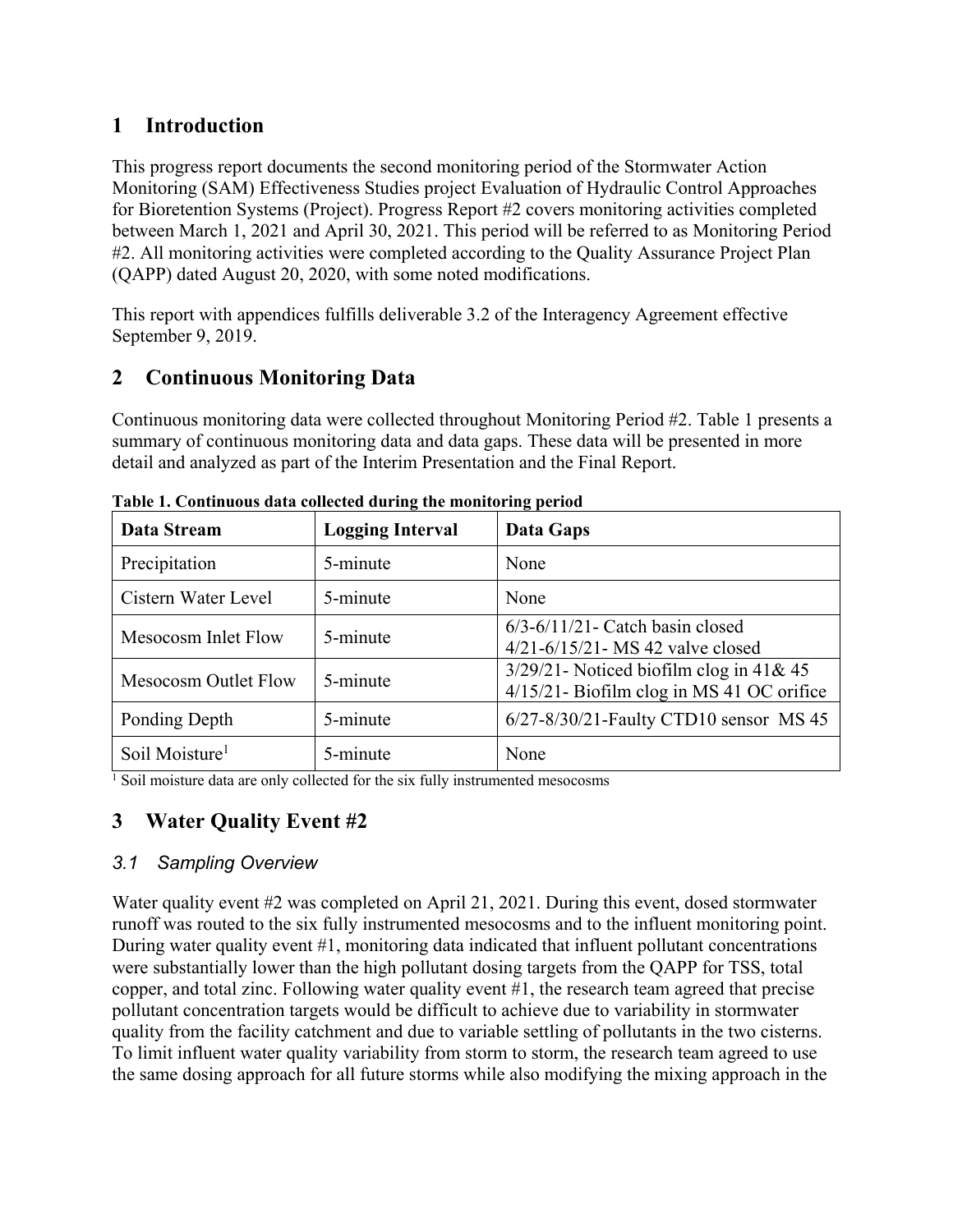## <span id="page-3-0"></span>**1 Introduction**

This progress report documents the second monitoring period of the Stormwater Action Monitoring (SAM) Effectiveness Studies project Evaluation of Hydraulic Control Approaches for Bioretention Systems (Project). Progress Report #2 covers monitoring activities completed between March 1, 2021 and April 30, 2021. This period will be referred to as Monitoring Period #2. All monitoring activities were completed according to the Quality Assurance Project Plan (QAPP) dated August 20, 2020, with some noted modifications.

This report with appendices fulfills deliverable 3.2 of the Interagency Agreement effective September 9, 2019.

## <span id="page-3-1"></span>**2 Continuous Monitoring Data**

Continuous monitoring data were collected throughout Monitoring Period #2. [Table 1](#page-3-3) presents a summary of continuous monitoring data and data gaps. These data will be presented in more detail and analyzed as part of the Interim Presentation and the Final Report.

| Data Stream                | <b>Logging Interval</b> | Data Gaps                                                                               |  |  |  |
|----------------------------|-------------------------|-----------------------------------------------------------------------------------------|--|--|--|
| Precipitation              | 5-minute                | None                                                                                    |  |  |  |
| Cistern Water Level        | 5-minute                | None                                                                                    |  |  |  |
| Mesocosm Inlet Flow        | 5-minute                | $6/3 - 6/11/21$ - Catch basin closed<br>4/21-6/15/21- MS 42 valve closed                |  |  |  |
| Mesocosm Outlet Flow       | 5-minute                | $3/29/21$ - Noticed biofilm clog in 41& 45<br>4/15/21- Biofilm clog in MS 41 OC orifice |  |  |  |
| Ponding Depth              | 5-minute                | 6/27-8/30/21-Faulty CTD10 sensor MS 45                                                  |  |  |  |
| Soil Moisture <sup>1</sup> | 5-minute                | None                                                                                    |  |  |  |

<span id="page-3-3"></span>**Table 1. Continuous data collected during the monitoring period**

<sup>1</sup> Soil moisture data are only collected for the six fully instrumented mesocosms

## <span id="page-3-2"></span>**3 Water Quality Event #2**

## *3.1 Sampling Overview*

Water quality event #2 was completed on April 21, 2021. During this event, dosed stormwater runoff was routed to the six fully instrumented mesocosms and to the influent monitoring point. During water quality event #1, monitoring data indicated that influent pollutant concentrations were substantially lower than the high pollutant dosing targets from the QAPP for TSS, total copper, and total zinc. Following water quality event #1, the research team agreed that precise pollutant concentration targets would be difficult to achieve due to variability in stormwater quality from the facility catchment and due to variable settling of pollutants in the two cisterns. To limit influent water quality variability from storm to storm, the research team agreed to use the same dosing approach for all future storms while also modifying the mixing approach in the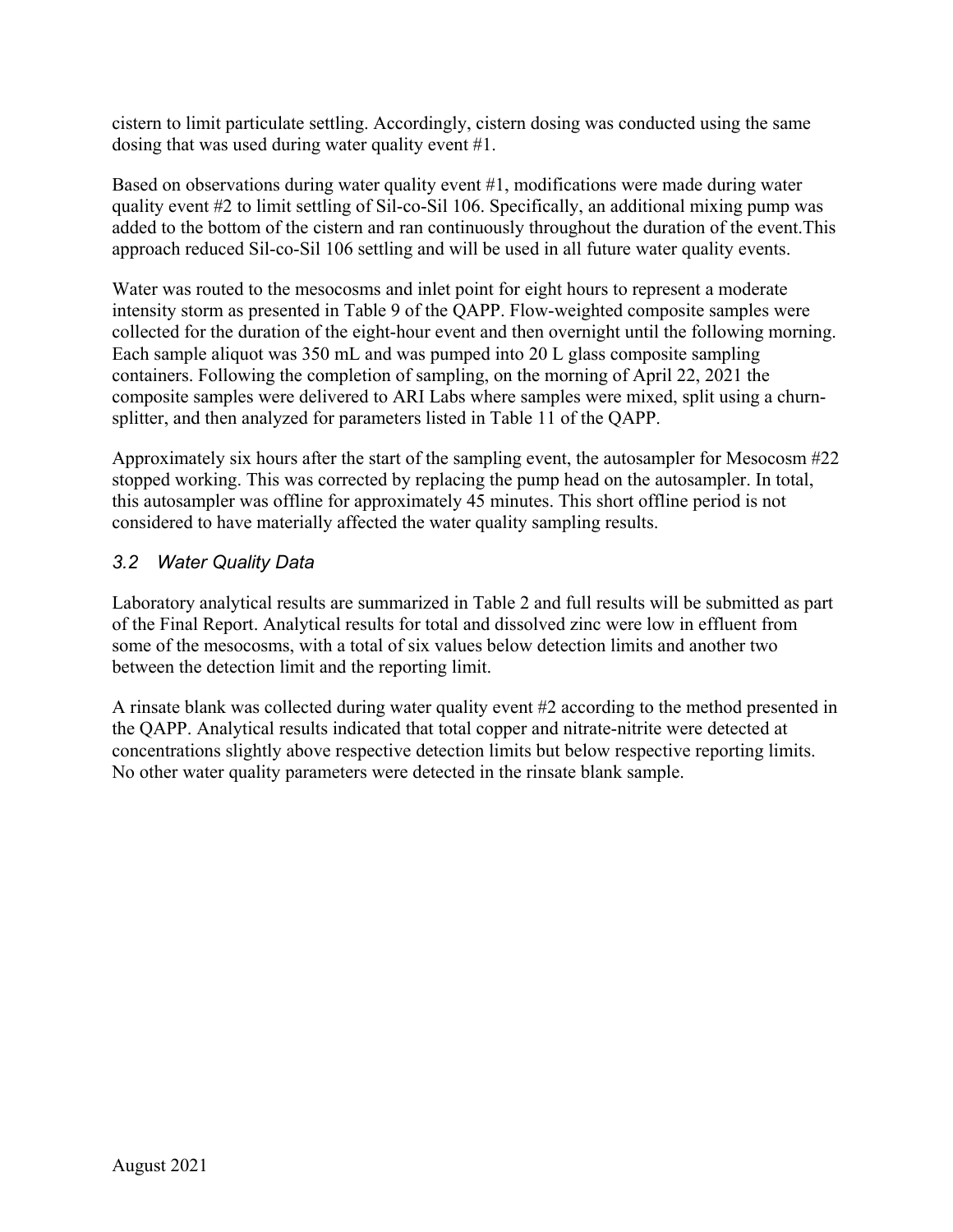cistern to limit particulate settling. Accordingly, cistern dosing was conducted using the same dosing that was used during water quality event #1.

Based on observations during water quality event #1, modifications were made during water quality event #2 to limit settling of Sil-co-Sil 106. Specifically, an additional mixing pump was added to the bottom of the cistern and ran continuously throughout the duration of the event.This approach reduced Sil-co-Sil 106 settling and will be used in all future water quality events.

Water was routed to the mesocosms and inlet point for eight hours to represent a moderate intensity storm as presented in Table 9 of the QAPP. Flow-weighted composite samples were collected for the duration of the eight-hour event and then overnight until the following morning. Each sample aliquot was 350 mL and was pumped into 20 L glass composite sampling containers. Following the completion of sampling, on the morning of April 22, 2021 the composite samples were delivered to ARI Labs where samples were mixed, split using a churnsplitter, and then analyzed for parameters listed in Table 11 of the QAPP.

Approximately six hours after the start of the sampling event, the autosampler for Mesocosm #22 stopped working. This was corrected by replacing the pump head on the autosampler. In total, this autosampler was offline for approximately 45 minutes. This short offline period is not considered to have materially affected the water quality sampling results.

## *3.2 Water Quality Data*

Laboratory analytical results are summarized in [Table 2](#page-5-2) and full results will be submitted as part of the Final Report. Analytical results for total and dissolved zinc were low in effluent from some of the mesocosms, with a total of six values below detection limits and another two between the detection limit and the reporting limit.

A rinsate blank was collected during water quality event #2 according to the method presented in the QAPP. Analytical results indicated that total copper and nitrate-nitrite were detected at concentrations slightly above respective detection limits but below respective reporting limits. No other water quality parameters were detected in the rinsate blank sample.